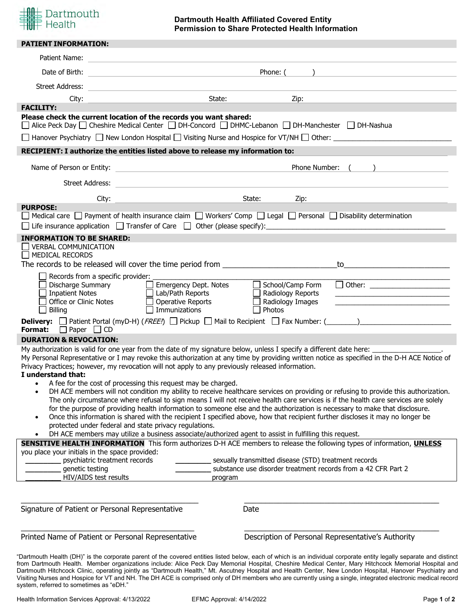

# **Dartmouth Health Affiliated Covered Entity Permission to Share Protected Health Information**

| Patient Name:<br><u> 1989 - Johann John Stein, markin film yn y brening yn y brening yn y brening yn y brening y brening yn y breni</u><br><b>Example 2018</b> State: State:<br>City:<br><b>FACILITY:</b><br>Please check the current location of the records you want shared:<br>□ Alice Peck Day □ Cheshire Medical Center □ DH-Concord □ DHMC-Lebanon □ DH-Manchester □ DH-Nashua<br>RECIPIENT: I authorize the entities listed above to release my information to:<br>Street Address:<br>City:<br><b>PURPOSE:</b><br>$\Box$ Medical care $\Box$ Payment of health insurance claim $\Box$ Workers' Comp $\Box$ Legal $\Box$ Personal $\Box$ Disability determination<br>$\Box$ Life insurance application $\Box$ Transfer of Care $\Box$ Other (please specify): | Phone: (<br>) and the contract of the contract of $\mathcal{L}$<br>Zip:<br>Phone Number: ( )<br>State:<br>Zip:                        |
|---------------------------------------------------------------------------------------------------------------------------------------------------------------------------------------------------------------------------------------------------------------------------------------------------------------------------------------------------------------------------------------------------------------------------------------------------------------------------------------------------------------------------------------------------------------------------------------------------------------------------------------------------------------------------------------------------------------------------------------------------------------------|---------------------------------------------------------------------------------------------------------------------------------------|
|                                                                                                                                                                                                                                                                                                                                                                                                                                                                                                                                                                                                                                                                                                                                                                     |                                                                                                                                       |
|                                                                                                                                                                                                                                                                                                                                                                                                                                                                                                                                                                                                                                                                                                                                                                     |                                                                                                                                       |
|                                                                                                                                                                                                                                                                                                                                                                                                                                                                                                                                                                                                                                                                                                                                                                     |                                                                                                                                       |
|                                                                                                                                                                                                                                                                                                                                                                                                                                                                                                                                                                                                                                                                                                                                                                     |                                                                                                                                       |
|                                                                                                                                                                                                                                                                                                                                                                                                                                                                                                                                                                                                                                                                                                                                                                     |                                                                                                                                       |
|                                                                                                                                                                                                                                                                                                                                                                                                                                                                                                                                                                                                                                                                                                                                                                     |                                                                                                                                       |
|                                                                                                                                                                                                                                                                                                                                                                                                                                                                                                                                                                                                                                                                                                                                                                     |                                                                                                                                       |
|                                                                                                                                                                                                                                                                                                                                                                                                                                                                                                                                                                                                                                                                                                                                                                     |                                                                                                                                       |
|                                                                                                                                                                                                                                                                                                                                                                                                                                                                                                                                                                                                                                                                                                                                                                     |                                                                                                                                       |
|                                                                                                                                                                                                                                                                                                                                                                                                                                                                                                                                                                                                                                                                                                                                                                     |                                                                                                                                       |
|                                                                                                                                                                                                                                                                                                                                                                                                                                                                                                                                                                                                                                                                                                                                                                     |                                                                                                                                       |
|                                                                                                                                                                                                                                                                                                                                                                                                                                                                                                                                                                                                                                                                                                                                                                     |                                                                                                                                       |
|                                                                                                                                                                                                                                                                                                                                                                                                                                                                                                                                                                                                                                                                                                                                                                     |                                                                                                                                       |
| <b>INFORMATION TO BE SHARED:</b>                                                                                                                                                                                                                                                                                                                                                                                                                                                                                                                                                                                                                                                                                                                                    |                                                                                                                                       |
| <b>VERBAL COMMUNICATION</b>                                                                                                                                                                                                                                                                                                                                                                                                                                                                                                                                                                                                                                                                                                                                         |                                                                                                                                       |
| $\Box$ MEDICAL RECORDS                                                                                                                                                                                                                                                                                                                                                                                                                                                                                                                                                                                                                                                                                                                                              |                                                                                                                                       |
| The records to be released will cover the time period from _____________________                                                                                                                                                                                                                                                                                                                                                                                                                                                                                                                                                                                                                                                                                    |                                                                                                                                       |
| Records from a specific provider:<br>$\blacksquare$                                                                                                                                                                                                                                                                                                                                                                                                                                                                                                                                                                                                                                                                                                                 |                                                                                                                                       |
| <b>Discharge Summary</b><br>$\Box$ Emergency Dept. Notes                                                                                                                                                                                                                                                                                                                                                                                                                                                                                                                                                                                                                                                                                                            | $\Box$ School/Camp Form<br>□ Other: ______________________                                                                            |
| <b>Inpatient Notes</b><br>$\Box$ Lab/Path Reports<br>Office or Clinic Notes                                                                                                                                                                                                                                                                                                                                                                                                                                                                                                                                                                                                                                                                                         | $\Box$ Radiology Reports                                                                                                              |
| $\Box$ Operative Reports<br>$\Box$ Immunizations<br>Billing<br>$\overline{\phantom{a}}$                                                                                                                                                                                                                                                                                                                                                                                                                                                                                                                                                                                                                                                                             | $\Box$ Radiology Images<br>the control of the control of the control of the control of the control of the control of<br>$\Box$ Photos |
|                                                                                                                                                                                                                                                                                                                                                                                                                                                                                                                                                                                                                                                                                                                                                                     |                                                                                                                                       |
| <b>Format:</b> $\Box$ Paper $\Box$ CD                                                                                                                                                                                                                                                                                                                                                                                                                                                                                                                                                                                                                                                                                                                               |                                                                                                                                       |
| <b>DURATION &amp; REVOCATION:</b>                                                                                                                                                                                                                                                                                                                                                                                                                                                                                                                                                                                                                                                                                                                                   |                                                                                                                                       |
| My authorization is valid for one year from the date of my signature below, unless I specify a different date here:                                                                                                                                                                                                                                                                                                                                                                                                                                                                                                                                                                                                                                                 |                                                                                                                                       |
| My Personal Representative or I may revoke this authorization at any time by providing written notice as specified in the D-H ACE Notice of                                                                                                                                                                                                                                                                                                                                                                                                                                                                                                                                                                                                                         |                                                                                                                                       |
| Privacy Practices; however, my revocation will not apply to any previously released information.<br>I understand that:                                                                                                                                                                                                                                                                                                                                                                                                                                                                                                                                                                                                                                              |                                                                                                                                       |
| • A fee for the cost of processing this request may be charged.                                                                                                                                                                                                                                                                                                                                                                                                                                                                                                                                                                                                                                                                                                     |                                                                                                                                       |
| DH ACE members will not condition my ability to receive healthcare services on providing or refusing to provide this authorization.<br>$\bullet$                                                                                                                                                                                                                                                                                                                                                                                                                                                                                                                                                                                                                    |                                                                                                                                       |
| The only circumstance where refusal to sign means I will not receive health care services is if the health care services are solely                                                                                                                                                                                                                                                                                                                                                                                                                                                                                                                                                                                                                                 |                                                                                                                                       |
| for the purpose of providing health information to someone else and the authorization is necessary to make that disclosure.                                                                                                                                                                                                                                                                                                                                                                                                                                                                                                                                                                                                                                         |                                                                                                                                       |
| Once this information is shared with the recipient I specified above, how that recipient further discloses it may no longer be<br>$\bullet$<br>protected under federal and state privacy regulations.                                                                                                                                                                                                                                                                                                                                                                                                                                                                                                                                                               |                                                                                                                                       |
| DH ACE members may utilize a business associate/authorized agent to assist in fulfilling this request.<br>$\bullet$                                                                                                                                                                                                                                                                                                                                                                                                                                                                                                                                                                                                                                                 |                                                                                                                                       |
| SENSITIVE HEALTH INFORMATION This form authorizes D-H ACE members to release the following types of information, UNLESS                                                                                                                                                                                                                                                                                                                                                                                                                                                                                                                                                                                                                                             |                                                                                                                                       |
| you place your initials in the space provided:                                                                                                                                                                                                                                                                                                                                                                                                                                                                                                                                                                                                                                                                                                                      |                                                                                                                                       |
| psychiatric treatment records                                                                                                                                                                                                                                                                                                                                                                                                                                                                                                                                                                                                                                                                                                                                       | sexually transmitted disease (STD) treatment records                                                                                  |
| genetic testing<br>HIV/AIDS test results                                                                                                                                                                                                                                                                                                                                                                                                                                                                                                                                                                                                                                                                                                                            | substance use disorder treatment records from a 42 CFR Part 2                                                                         |
| program                                                                                                                                                                                                                                                                                                                                                                                                                                                                                                                                                                                                                                                                                                                                                             |                                                                                                                                       |
|                                                                                                                                                                                                                                                                                                                                                                                                                                                                                                                                                                                                                                                                                                                                                                     |                                                                                                                                       |
| Signature of Patient or Personal Representative<br>Date                                                                                                                                                                                                                                                                                                                                                                                                                                                                                                                                                                                                                                                                                                             |                                                                                                                                       |
|                                                                                                                                                                                                                                                                                                                                                                                                                                                                                                                                                                                                                                                                                                                                                                     |                                                                                                                                       |
| Printed Name of Patient or Personal Representative                                                                                                                                                                                                                                                                                                                                                                                                                                                                                                                                                                                                                                                                                                                  | Description of Personal Representative's Authority                                                                                    |

system, referred to sometimes as "eDH."

Visiting Nurses and Hospice for VT and NH. The DH ACE is comprised only of DH members who are currently using a single, integrated electronic medical record